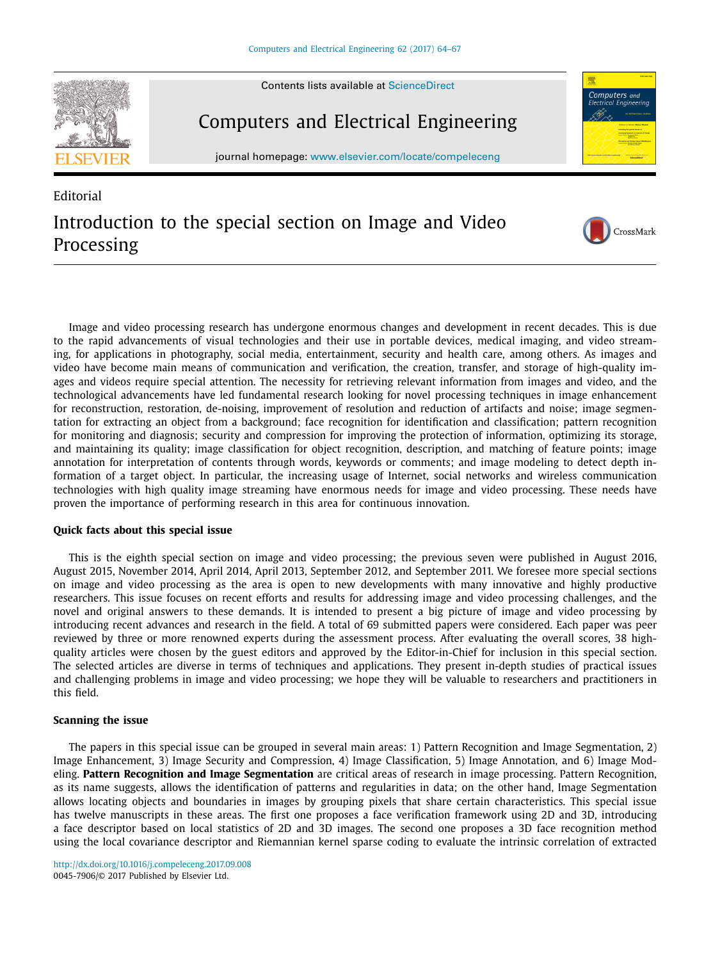



## Computers and Electrical Engineering

journal homepage: [www.elsevier.com/locate/compeleceng](http://www.elsevier.com/locate/compeleceng)



CrossMark

## **Editorial** Introduction to the special section on Image and Video Processing

Image and video processing research has undergone enormous changes and development in recent decades. This is due to the rapid advancements of visual technologies and their use in portable devices, medical imaging, and video streaming, for applications in photography, social media, entertainment, security and health care, among others. As images and video have become main means of communication and verification, the creation, transfer, and storage of high-quality images and videos require special attention. The necessity for retrieving relevant information from images and video, and the technological advancements have led fundamental research looking for novel processing techniques in image enhancement for reconstruction, restoration, de-noising, improvement of resolution and reduction of artifacts and noise; image segmentation for extracting an object from a background; face recognition for identification and classification; pattern recognition for monitoring and diagnosis; security and compression for improving the protection of information, optimizing its storage, and maintaining its quality; image classification for object recognition, description, and matching of feature points; image annotation for interpretation of contents through words, keywords or comments; and image modeling to detect depth information of a target object. In particular, the increasing usage of Internet, social networks and wireless communication technologies with high quality image streaming have enormous needs for image and video processing. These needs have proven the importance of performing research in this area for continuous innovation.

## **Quick facts about this special issue**

This is the eighth special section on image and video processing; the previous seven were published in August 2016, August 2015, November 2014, April 2014, April 2013, September 2012, and September 2011. We foresee more special sections on image and video processing as the area is open to new developments with many innovative and highly productive researchers. This issue focuses on recent efforts and results for addressing image and video processing challenges, and the novel and original answers to these demands. It is intended to present a big picture of image and video processing by introducing recent advances and research in the field. A total of 69 submitted papers were considered. Each paper was peer reviewed by three or more renowned experts during the assessment process. After evaluating the overall scores, 38 highquality articles were chosen by the guest editors and approved by the Editor-in-Chief for inclusion in this special section. The selected articles are diverse in terms of techniques and applications. They present in-depth studies of practical issues and challenging problems in image and video processing; we hope they will be valuable to researchers and practitioners in this field.

## **Scanning the issue**

The papers in this special issue can be grouped in several main areas: 1) Pattern Recognition and Image Segmentation, 2) Image Enhancement, 3) Image Security and Compression, 4) Image Classification, 5) Image Annotation, and 6) Image Modeling. **Pattern Recognition and Image Segmentation** are critical areas of research in image processing. Pattern Recognition, as its name suggests, allows the identification of patterns and regularities in data; on the other hand, Image Segmentation allows locating objects and boundaries in images by grouping pixels that share certain characteristics. This special issue has twelve manuscripts in these areas. The first one proposes a face verification framework using 2D and 3D, introducing a face descriptor based on local statistics of 2D and 3D images. The second one proposes a 3D face recognition method using the local covariance descriptor and Riemannian kernel sparse coding to evaluate the intrinsic correlation of extracted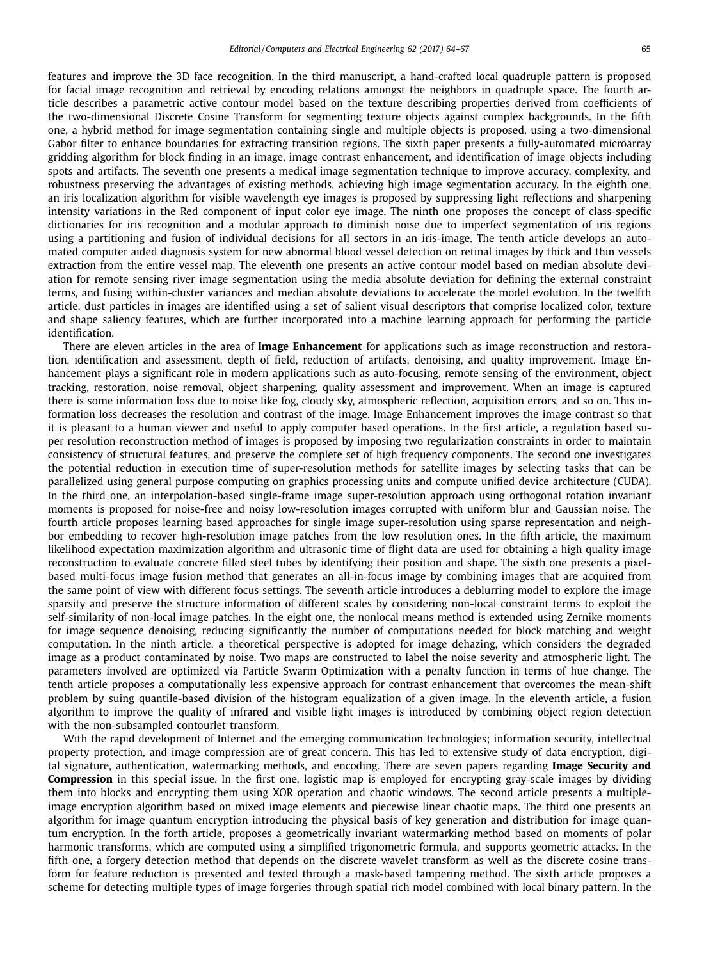features and improve the 3D face recognition. In the third manuscript, a hand-crafted local quadruple pattern is proposed for facial image recognition and retrieval by encoding relations amongst the neighbors in quadruple space. The fourth article describes a parametric active contour model based on the texture describing properties derived from coefficients of the two-dimensional Discrete Cosine Transform for segmenting texture objects against complex backgrounds. In the fifth one, a hybrid method for image segmentation containing single and multiple objects is proposed, using a two-dimensional Gabor filter to enhance boundaries for extracting transition regions. The sixth paper presents a fully**-**automated microarray gridding algorithm for block finding in an image, image contrast enhancement, and identification of image objects including spots and artifacts. The seventh one presents a medical image segmentation technique to improve accuracy, complexity, and robustness preserving the advantages of existing methods, achieving high image segmentation accuracy. In the eighth one, an iris localization algorithm for visible wavelength eye images is proposed by suppressing light reflections and sharpening intensity variations in the Red component of input color eve image. The ninth one proposes the concept of class-specific dictionaries for iris recognition and a modular approach to diminish noise due to imperfect segmentation of iris regions using a partitioning and fusion of individual decisions for all sectors in an iris-image. The tenth article develops an automated computer aided diagnosis system for new abnormal blood vessel detection on retinal images by thick and thin vessels extraction from the entire vessel map. The eleventh one presents an active contour model based on median absolute deviation for remote sensing river image segmentation using the media absolute deviation for defining the external constraint terms, and fusing within-cluster variances and median absolute deviations to accelerate the model evolution. In the twelfth article, dust particles in images are identified using a set of salient visual descriptors that comprise localized color, texture and shape saliency features, which are further incorporated into a machine learning approach for performing the particle identification.

There are eleven articles in the area of **Image Enhancement** for applications such as image reconstruction and restoration, identification and assessment, depth of field, reduction of artifacts, denoising, and quality improvement. Image Enhancement plays a significant role in modern applications such as auto-focusing, remote sensing of the environment, object tracking, restoration, noise removal, object sharpening, quality assessment and improvement. When an image is captured there is some information loss due to noise like fog, cloudy sky, atmospheric reflection, acquisition errors, and so on. This information loss decreases the resolution and contrast of the image. Image Enhancement improves the image contrast so that it is pleasant to a human viewer and useful to apply computer based operations. In the first article, a regulation based super resolution reconstruction method of images is proposed by imposing two regularization constraints in order to maintain consistency of structural features, and preserve the complete set of high frequency components. The second one investigates the potential reduction in execution time of super-resolution methods for satellite images by selecting tasks that can be parallelized using general purpose computing on graphics processing units and compute unified device architecture (CUDA). In the third one, an interpolation-based single-frame image super-resolution approach using orthogonal rotation invariant moments is proposed for noise-free and noisy low-resolution images corrupted with uniform blur and Gaussian noise. The fourth article proposes learning based approaches for single image super-resolution using sparse representation and neighbor embedding to recover high-resolution image patches from the low resolution ones. In the fifth article, the maximum likelihood expectation maximization algorithm and ultrasonic time of flight data are used for obtaining a high quality image reconstruction to evaluate concrete filled steel tubes by identifying their position and shape. The sixth one presents a pixelbased multi-focus image fusion method that generates an all-in-focus image by combining images that are acquired from the same point of view with different focus settings. The seventh article introduces a deblurring model to explore the image sparsity and preserve the structure information of different scales by considering non-local constraint terms to exploit the self-similarity of non-local image patches. In the eight one, the nonlocal means method is extended using Zernike moments for image sequence denoising, reducing significantly the number of computations needed for block matching and weight computation. In the ninth article, a theoretical perspective is adopted for image dehazing, which considers the degraded image as a product contaminated by noise. Two maps are constructed to label the noise severity and atmospheric light. The parameters involved are optimized via Particle Swarm Optimization with a penalty function in terms of hue change. The tenth article proposes a computationally less expensive approach for contrast enhancement that overcomes the mean-shift problem by suing quantile-based division of the histogram equalization of a given image. In the eleventh article, a fusion algorithm to improve the quality of infrared and visible light images is introduced by combining object region detection with the non-subsampled contourlet transform.

With the rapid development of Internet and the emerging communication technologies; information security, intellectual property protection, and image compression are of great concern. This has led to extensive study of data encryption, digital signature, authentication, watermarking methods, and encoding. There are seven papers regarding **Image Security and Compression** in this special issue. In the first one, logistic map is employed for encrypting gray-scale images by dividing them into blocks and encrypting them using XOR operation and chaotic windows. The second article presents a multipleimage encryption algorithm based on mixed image elements and piecewise linear chaotic maps. The third one presents an algorithm for image quantum encryption introducing the physical basis of key generation and distribution for image quantum encryption. In the forth article, proposes a geometrically invariant watermarking method based on moments of polar harmonic transforms, which are computed using a simplified trigonometric formula, and supports geometric attacks. In the fifth one, a forgery detection method that depends on the discrete wavelet transform as well as the discrete cosine transform for feature reduction is presented and tested through a mask-based tampering method. The sixth article proposes a scheme for detecting multiple types of image forgeries through spatial rich model combined with local binary pattern. In the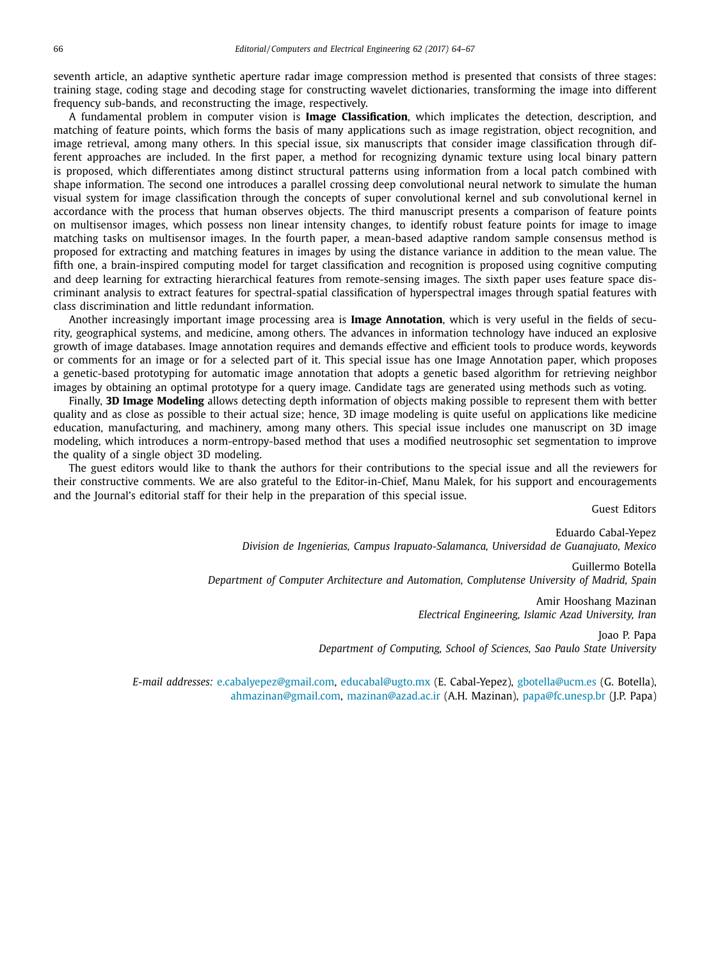seventh article, an adaptive synthetic aperture radar image compression method is presented that consists of three stages: training stage, coding stage and decoding stage for constructing wavelet dictionaries, transforming the image into different frequency sub-bands, and reconstructing the image, respectively.

A fundamental problem in computer vision is **Image Classification**, which implicates the detection, description, and matching of feature points, which forms the basis of many applications such as image registration, object recognition, and image retrieval, among many others. In this special issue, six manuscripts that consider image classification through different approaches are included. In the first paper, a method for recognizing dynamic texture using local binary pattern is proposed, which differentiates among distinct structural patterns using information from a local patch combined with shape information. The second one introduces a parallel crossing deep convolutional neural network to simulate the human visual system for image classification through the concepts of super convolutional kernel and sub convolutional kernel in accordance with the process that human observes objects. The third manuscript presents a comparison of feature points on multisensor images, which possess non linear intensity changes, to identify robust feature points for image to image matching tasks on multisensor images. In the fourth paper, a mean-based adaptive random sample consensus method is proposed for extracting and matching features in images by using the distance variance in addition to the mean value. The fifth one, a brain-inspired computing model for target classification and recognition is proposed using cognitive computing and deep learning for extracting hierarchical features from remote-sensing images. The sixth paper uses feature space discriminant analysis to extract features for spectral-spatial classification of hyperspectral images through spatial features with class discrimination and little redundant information.

Another increasingly important image processing area is **Image Annotation**, which is very useful in the fields of security, geographical systems, and medicine, among others. The advances in information technology have induced an explosive growth of image databases. Image annotation requires and demands effective and efficient tools to produce words, keywords or comments for an image or for a selected part of it. This special issue has one Image Annotation paper, which proposes a genetic-based prototyping for automatic image annotation that adopts a genetic based algorithm for retrieving neighbor images by obtaining an optimal prototype for a query image. Candidate tags are generated using methods such as voting.

Finally, **3D Image Modeling** allows detecting depth information of objects making possible to represent them with better quality and as close as possible to their actual size; hence, 3D image modeling is quite useful on applications like medicine education, manufacturing, and machinery, among many others. This special issue includes one manuscript on 3D image modeling, which introduces a norm-entropy-based method that uses a modified neutrosophic set segmentation to improve the quality of a single object 3D modeling.

The guest editors would like to thank the authors for their contributions to the special issue and all the reviewers for their constructive comments. We are also grateful to the Editor-in-Chief, Manu Malek, for his support and encouragements and the Journal's editorial staff for their help in the preparation of this special issue.

Guest Editors

Eduardo Cabal-Yepez *Division de Ingenierias, Campus Irapuato-Salamanca, Universidad de Guanajuato, Mexico* Guillermo Botella *Department of Computer Architecture and Automation, Complutense University of Madrid, Spain* Amir Hooshang Mazinan *Electrical Engineering, Islamic Azad University, Iran*

> Joao P. Papa *Department of Computing, School of Sciences, Sao Paulo State University*

*E-mail addresses:* [e.cabalyepez@gmail.com,](mailto:e.cabalyepez@gmail.com) [educabal@ugto.mx](mailto:educabal@ugto.mx) (E. Cabal-Yepez), [gbotella@ucm.es](mailto:gbotella@ucm.es) (G. Botella), [ahmazinan@gmail.com,](mailto:ahmazinan@gmail.com) [mazinan@azad.ac.ir](mailto:mazinan@azad.ac.ir) (A.H. Mazinan), [papa@fc.unesp.br](mailto:papa@fc.unesp.br) (J.P. Papa)